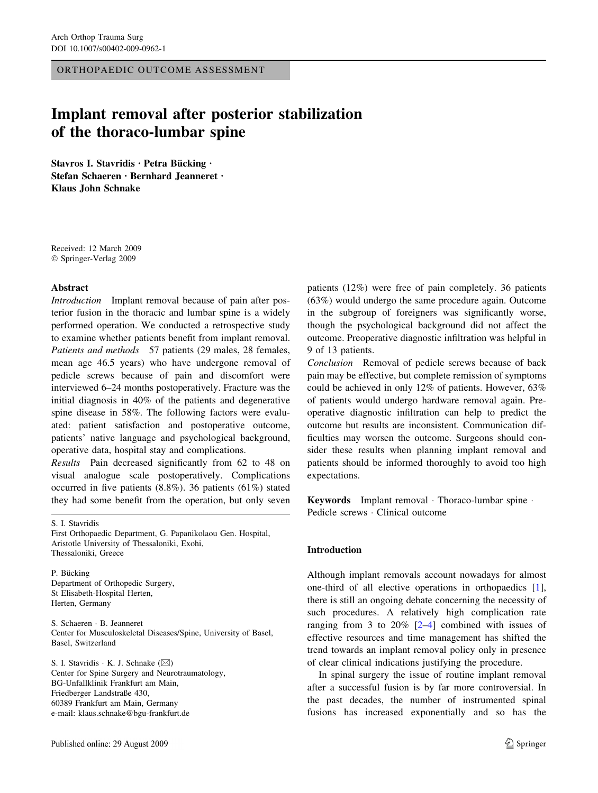ORTHOPAEDIC OUTCOME ASSESSMENT

# Implant removal after posterior stabilization of the thoraco-lumbar spine

Stavros I. Stavridis · Petra Bücking · Stefan Schaeren · Bernhard Jeanneret · Klaus John Schnake

Received: 12 March 2009 Springer-Verlag 2009

#### Abstract

Introduction Implant removal because of pain after posterior fusion in the thoracic and lumbar spine is a widely performed operation. We conducted a retrospective study to examine whether patients benefit from implant removal. Patients and methods 57 patients (29 males, 28 females, mean age 46.5 years) who have undergone removal of pedicle screws because of pain and discomfort were interviewed 6–24 months postoperatively. Fracture was the initial diagnosis in 40% of the patients and degenerative spine disease in 58%. The following factors were evaluated: patient satisfaction and postoperative outcome, patients' native language and psychological background, operative data, hospital stay and complications.

Results Pain decreased significantly from 62 to 48 on visual analogue scale postoperatively. Complications occurred in five patients (8.8%). 36 patients (61%) stated they had some benefit from the operation, but only seven

S. I. Stavridis

First Orthopaedic Department, G. Papanikolaou Gen. Hospital, Aristotle University of Thessaloniki, Exohi, Thessaloniki, Greece

P. Bücking Department of Orthopedic Surgery, St Elisabeth-Hospital Herten, Herten, Germany

S. Schaeren · B. Jeanneret Center for Musculoskeletal Diseases/Spine, University of Basel, Basel, Switzerland

S. I. Stavridis  $\cdot$  K. J. Schnake ( $\boxtimes$ ) Center for Spine Surgery and Neurotraumatology, BG-Unfallklinik Frankfurt am Main, Friedberger Landstraße 430, 60389 Frankfurt am Main, Germany e-mail: klaus.schnake@bgu-frankfurt.de

patients (12%) were free of pain completely. 36 patients (63%) would undergo the same procedure again. Outcome in the subgroup of foreigners was significantly worse, though the psychological background did not affect the outcome. Preoperative diagnostic infiltration was helpful in 9 of 13 patients.

Conclusion Removal of pedicle screws because of back pain may be effective, but complete remission of symptoms could be achieved in only 12% of patients. However, 63% of patients would undergo hardware removal again. Preoperative diagnostic infiltration can help to predict the outcome but results are inconsistent. Communication difficulties may worsen the outcome. Surgeons should consider these results when planning implant removal and patients should be informed thoroughly to avoid too high expectations.

Keywords Implant removal · Thoraco-lumbar spine · Pedicle screws  $\cdot$  Clinical outcome

### Introduction

Although implant removals account nowadays for almost one-third of all elective operations in orthopaedics [\[1](#page-4-0)], there is still an ongoing debate concerning the necessity of such procedures. A relatively high complication rate ranging from 3 to  $20\%$  [\[2–4](#page-4-0)] combined with issues of effective resources and time management has shifted the trend towards an implant removal policy only in presence of clear clinical indications justifying the procedure.

In spinal surgery the issue of routine implant removal after a successful fusion is by far more controversial. In the past decades, the number of instrumented spinal fusions has increased exponentially and so has the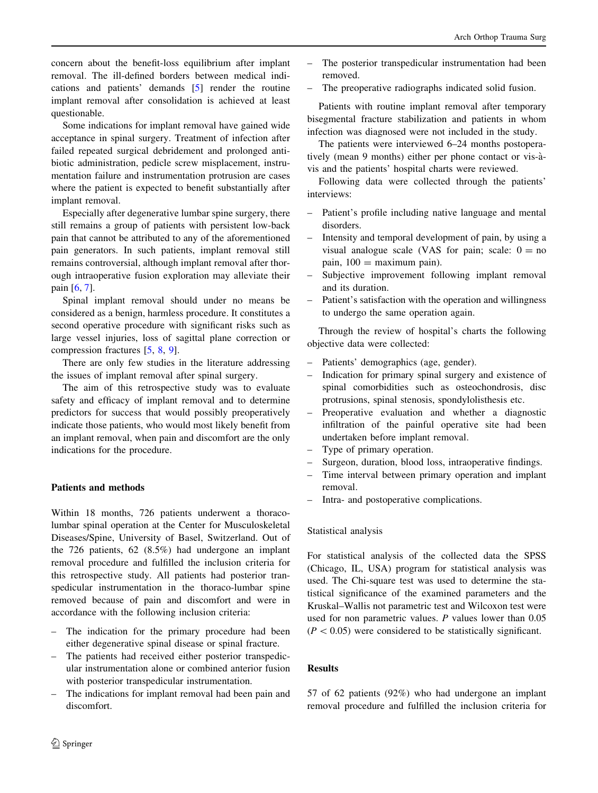concern about the benefit-loss equilibrium after implant removal. The ill-defined borders between medical indications and patients' demands [\[5](#page-4-0)] render the routine implant removal after consolidation is achieved at least questionable.

Some indications for implant removal have gained wide acceptance in spinal surgery. Treatment of infection after failed repeated surgical debridement and prolonged antibiotic administration, pedicle screw misplacement, instrumentation failure and instrumentation protrusion are cases where the patient is expected to benefit substantially after implant removal.

Especially after degenerative lumbar spine surgery, there still remains a group of patients with persistent low-back pain that cannot be attributed to any of the aforementioned pain generators. In such patients, implant removal still remains controversial, although implant removal after thorough intraoperative fusion exploration may alleviate their pain [\[6](#page-4-0), [7](#page-4-0)].

Spinal implant removal should under no means be considered as a benign, harmless procedure. It constitutes a second operative procedure with significant risks such as large vessel injuries, loss of sagittal plane correction or compression fractures [[5,](#page-4-0) [8](#page-4-0), [9](#page-4-0)].

There are only few studies in the literature addressing the issues of implant removal after spinal surgery.

The aim of this retrospective study was to evaluate safety and efficacy of implant removal and to determine predictors for success that would possibly preoperatively indicate those patients, who would most likely benefit from an implant removal, when pain and discomfort are the only indications for the procedure.

# Patients and methods

Within 18 months, 726 patients underwent a thoracolumbar spinal operation at the Center for Musculoskeletal Diseases/Spine, University of Basel, Switzerland. Out of the 726 patients, 62 (8.5%) had undergone an implant removal procedure and fulfilled the inclusion criteria for this retrospective study. All patients had posterior transpedicular instrumentation in the thoraco-lumbar spine removed because of pain and discomfort and were in accordance with the following inclusion criteria:

- The indication for the primary procedure had been either degenerative spinal disease or spinal fracture.
- The patients had received either posterior transpedicular instrumentation alone or combined anterior fusion with posterior transpedicular instrumentation.
- The indications for implant removal had been pain and discomfort.
- 2 Springer
- The posterior transpedicular instrumentation had been removed.
- The preoperative radiographs indicated solid fusion.

Patients with routine implant removal after temporary bisegmental fracture stabilization and patients in whom infection was diagnosed were not included in the study.

The patients were interviewed 6–24 months postoperatively (mean 9 months) either per phone contact or vis-àvis and the patients' hospital charts were reviewed.

Following data were collected through the patients' interviews:

- Patient's profile including native language and mental disorders.
- Intensity and temporal development of pain, by using a visual analogue scale (VAS for pain; scale:  $0 = no$ pain,  $100 =$  maximum pain).
- Subjective improvement following implant removal and its duration.
- Patient's satisfaction with the operation and willingness to undergo the same operation again.

Through the review of hospital's charts the following objective data were collected:

- Patients' demographics (age, gender).
- Indication for primary spinal surgery and existence of spinal comorbidities such as osteochondrosis, disc protrusions, spinal stenosis, spondylolisthesis etc.
- Preoperative evaluation and whether a diagnostic infiltration of the painful operative site had been undertaken before implant removal.
- Type of primary operation.
- Surgeon, duration, blood loss, intraoperative findings.
- Time interval between primary operation and implant removal.
- Intra- and postoperative complications.

# Statistical analysis

For statistical analysis of the collected data the SPSS (Chicago, IL, USA) program for statistical analysis was used. The Chi-square test was used to determine the statistical significance of the examined parameters and the Kruskal–Wallis not parametric test and Wilcoxon test were used for non parametric values. P values lower than 0.05  $(P<0.05)$  were considered to be statistically significant.

# Results

57 of 62 patients (92%) who had undergone an implant removal procedure and fulfilled the inclusion criteria for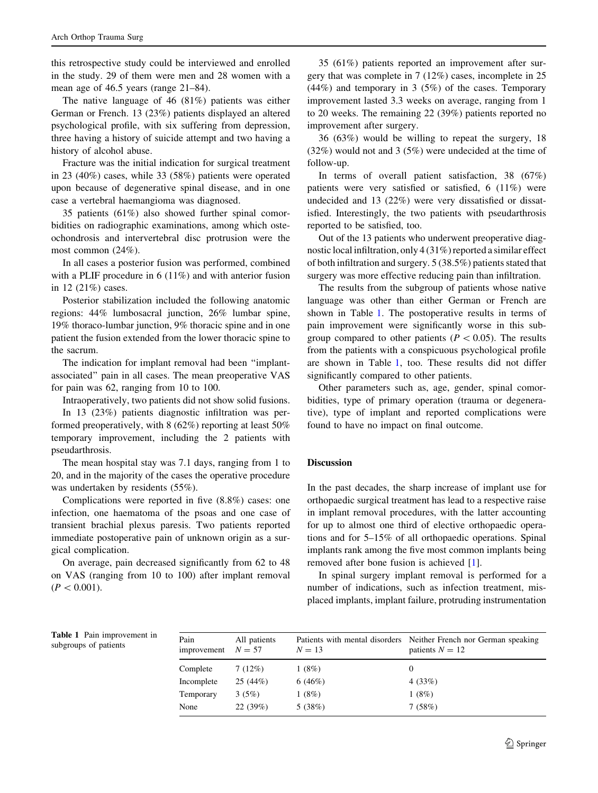this retrospective study could be interviewed and enrolled in the study. 29 of them were men and 28 women with a mean age of 46.5 years (range 21–84).

The native language of 46 (81%) patients was either German or French. 13 (23%) patients displayed an altered psychological profile, with six suffering from depression, three having a history of suicide attempt and two having a history of alcohol abuse.

Fracture was the initial indication for surgical treatment in 23 (40%) cases, while 33 (58%) patients were operated upon because of degenerative spinal disease, and in one case a vertebral haemangioma was diagnosed.

35 patients (61%) also showed further spinal comorbidities on radiographic examinations, among which osteochondrosis and intervertebral disc protrusion were the most common (24%).

In all cases a posterior fusion was performed, combined with a PLIF procedure in 6 (11%) and with anterior fusion in 12 (21%) cases.

Posterior stabilization included the following anatomic regions: 44% lumbosacral junction, 26% lumbar spine, 19% thoraco-lumbar junction, 9% thoracic spine and in one patient the fusion extended from the lower thoracic spine to the sacrum.

The indication for implant removal had been ''implantassociated'' pain in all cases. The mean preoperative VAS for pain was 62, ranging from 10 to 100.

Intraoperatively, two patients did not show solid fusions.

In 13 (23%) patients diagnostic infiltration was performed preoperatively, with 8 (62%) reporting at least 50% temporary improvement, including the 2 patients with pseudarthrosis.

The mean hospital stay was 7.1 days, ranging from 1 to 20, and in the majority of the cases the operative procedure was undertaken by residents (55%).

Complications were reported in five (8.8%) cases: one infection, one haematoma of the psoas and one case of transient brachial plexus paresis. Two patients reported immediate postoperative pain of unknown origin as a surgical complication.

On average, pain decreased significantly from 62 to 48 on VAS (ranging from 10 to 100) after implant removal  $(P<0.001)$ .

35 (61%) patients reported an improvement after surgery that was complete in 7 (12%) cases, incomplete in 25 (44%) and temporary in 3 (5%) of the cases. Temporary improvement lasted 3.3 weeks on average, ranging from 1 to 20 weeks. The remaining 22 (39%) patients reported no improvement after surgery.

36 (63%) would be willing to repeat the surgery, 18 (32%) would not and 3 (5%) were undecided at the time of follow-up.

In terms of overall patient satisfaction, 38 (67%) patients were very satisfied or satisfied, 6 (11%) were undecided and 13 (22%) were very dissatisfied or dissatisfied. Interestingly, the two patients with pseudarthrosis reported to be satisfied, too.

Out of the 13 patients who underwent preoperative diagnostic local infiltration, only 4 (31%) reported a similar effect of both infiltration and surgery. 5 (38.5%) patients stated that surgery was more effective reducing pain than infiltration.

The results from the subgroup of patients whose native language was other than either German or French are shown in Table 1. The postoperative results in terms of pain improvement were significantly worse in this subgroup compared to other patients ( $P \lt 0.05$ ). The results from the patients with a conspicuous psychological profile are shown in Table 1, too. These results did not differ significantly compared to other patients.

Other parameters such as, age, gender, spinal comorbidities, type of primary operation (trauma or degenerative), type of implant and reported complications were found to have no impact on final outcome.

#### Discussion

In the past decades, the sharp increase of implant use for orthopaedic surgical treatment has lead to a respective raise in implant removal procedures, with the latter accounting for up to almost one third of elective orthopaedic operations and for 5–15% of all orthopaedic operations. Spinal implants rank among the five most common implants being removed after bone fusion is achieved [[1\]](#page-4-0).

In spinal surgery implant removal is performed for a number of indications, such as infection treatment, misplaced implants, implant failure, protruding instrumentation

Table 1 Pain improvement in subgroups of patients

| Pain<br>improvement | All patients<br>$N = 57$ | $N = 13$ | Patients with mental disorders Neither French nor German speaking<br>patients $N = 12$ |
|---------------------|--------------------------|----------|----------------------------------------------------------------------------------------|
| Complete            | 7(12%)                   | 1(8%)    | $_{0}$                                                                                 |
| Incomplete          | 25(44%)                  | 6(46%)   | 4(33%)                                                                                 |
| Temporary           | 3(5%)                    | 1(8%)    | 1(8%)                                                                                  |
| None                | 22(39%)                  | 5(38%)   | 7(58%)                                                                                 |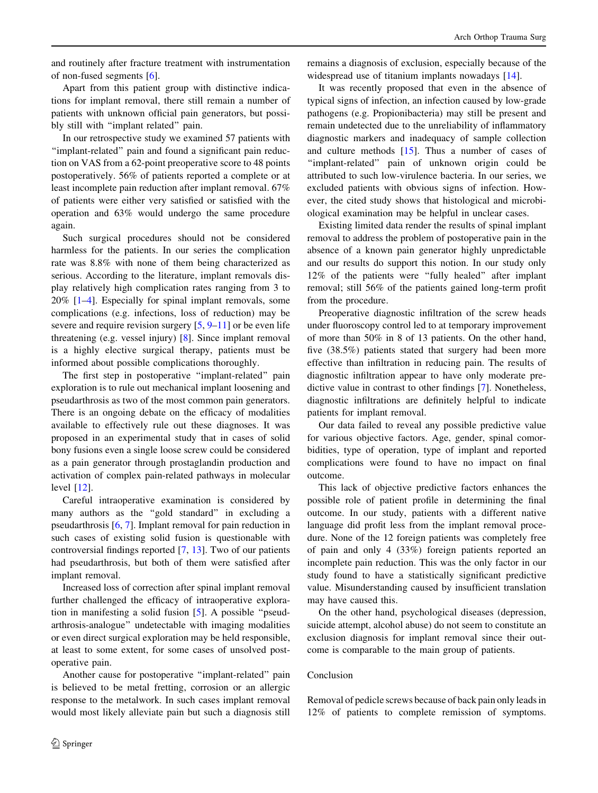and routinely after fracture treatment with instrumentation of non-fused segments [[6\]](#page-4-0).

Apart from this patient group with distinctive indications for implant removal, there still remain a number of patients with unknown official pain generators, but possibly still with ''implant related'' pain.

In our retrospective study we examined 57 patients with ''implant-related'' pain and found a significant pain reduction on VAS from a 62-point preoperative score to 48 points postoperatively. 56% of patients reported a complete or at least incomplete pain reduction after implant removal. 67% of patients were either very satisfied or satisfied with the operation and 63% would undergo the same procedure again.

Such surgical procedures should not be considered harmless for the patients. In our series the complication rate was 8.8% with none of them being characterized as serious. According to the literature, implant removals display relatively high complication rates ranging from 3 to 20% [[1–4\]](#page-4-0). Especially for spinal implant removals, some complications (e.g. infections, loss of reduction) may be severe and require revision surgery  $[5, 9-11]$  $[5, 9-11]$  $[5, 9-11]$  or be even life threatening (e.g. vessel injury) [\[8](#page-4-0)]. Since implant removal is a highly elective surgical therapy, patients must be informed about possible complications thoroughly.

The first step in postoperative "implant-related" pain exploration is to rule out mechanical implant loosening and pseudarthrosis as two of the most common pain generators. There is an ongoing debate on the efficacy of modalities available to effectively rule out these diagnoses. It was proposed in an experimental study that in cases of solid bony fusions even a single loose screw could be considered as a pain generator through prostaglandin production and activation of complex pain-related pathways in molecular level [\[12](#page-4-0)].

Careful intraoperative examination is considered by many authors as the ''gold standard'' in excluding a pseudarthrosis [[6,](#page-4-0) [7\]](#page-4-0). Implant removal for pain reduction in such cases of existing solid fusion is questionable with controversial findings reported [[7,](#page-4-0) [13\]](#page-4-0). Two of our patients had pseudarthrosis, but both of them were satisfied after implant removal.

Increased loss of correction after spinal implant removal further challenged the efficacy of intraoperative exploration in manifesting a solid fusion [\[5](#page-4-0)]. A possible ''pseudarthrosis-analogue'' undetectable with imaging modalities or even direct surgical exploration may be held responsible, at least to some extent, for some cases of unsolved postoperative pain.

Another cause for postoperative "implant-related" pain is believed to be metal fretting, corrosion or an allergic response to the metalwork. In such cases implant removal would most likely alleviate pain but such a diagnosis still

remains a diagnosis of exclusion, especially because of the widespread use of titanium implants nowadays [[14](#page-4-0)].

It was recently proposed that even in the absence of typical signs of infection, an infection caused by low-grade pathogens (e.g. Propionibacteria) may still be present and remain undetected due to the unreliability of inflammatory diagnostic markers and inadequacy of sample collection and culture methods [\[15](#page-4-0)]. Thus a number of cases of ''implant-related'' pain of unknown origin could be attributed to such low-virulence bacteria. In our series, we excluded patients with obvious signs of infection. However, the cited study shows that histological and microbiological examination may be helpful in unclear cases.

Existing limited data render the results of spinal implant removal to address the problem of postoperative pain in the absence of a known pain generator highly unpredictable and our results do support this notion. In our study only 12% of the patients were ''fully healed'' after implant removal; still 56% of the patients gained long-term profit from the procedure.

Preoperative diagnostic infiltration of the screw heads under fluoroscopy control led to at temporary improvement of more than 50% in 8 of 13 patients. On the other hand, five (38.5%) patients stated that surgery had been more effective than infiltration in reducing pain. The results of diagnostic infiltration appear to have only moderate predictive value in contrast to other findings [\[7](#page-4-0)]. Nonetheless, diagnostic infiltrations are definitely helpful to indicate patients for implant removal.

Our data failed to reveal any possible predictive value for various objective factors. Age, gender, spinal comorbidities, type of operation, type of implant and reported complications were found to have no impact on final outcome.

This lack of objective predictive factors enhances the possible role of patient profile in determining the final outcome. In our study, patients with a different native language did profit less from the implant removal procedure. None of the 12 foreign patients was completely free of pain and only 4 (33%) foreign patients reported an incomplete pain reduction. This was the only factor in our study found to have a statistically significant predictive value. Misunderstanding caused by insufficient translation may have caused this.

On the other hand, psychological diseases (depression, suicide attempt, alcohol abuse) do not seem to constitute an exclusion diagnosis for implant removal since their outcome is comparable to the main group of patients.

### Conclusion

Removal of pedicle screws because of back pain only leads in 12% of patients to complete remission of symptoms.